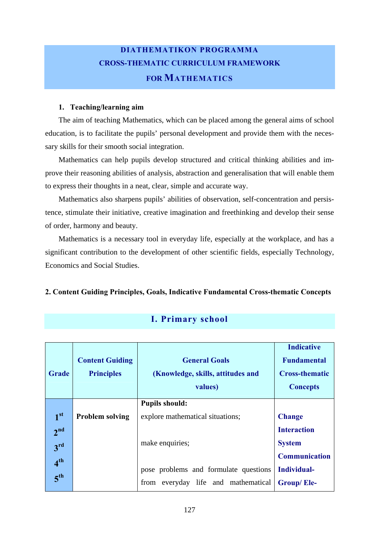## **DIATHEMATIKON PROGRAMMA CROSS-THEMATIC CURRICULUM FRAMEWORK FOR MATHEMATICS**

#### **1. Teaching/learning aim**

The aim of teaching Mathematics, which can be placed among the general aims of school education, is to facilitate the pupils' personal development and provide them with the necessary skills for their smooth social integration.

Mathematics can help pupils develop structured and critical thinking abilities and improve their reasoning abilities of analysis, abstraction and generalisation that will enable them to express their thoughts in a neat, clear, simple and accurate way.

Mathematics also sharpens pupils' abilities of observation, self-concentration and persistence, stimulate their initiative, creative imagination and freethinking and develop their sense of order, harmony and beauty.

Mathematics is a necessary tool in everyday life, especially at the workplace, and has a significant contribution to the development of other scientific fields, especially Technology, Economics and Social Studies.

#### **2. Content Guiding Principles, Goals, Indicative Fundamental Cross-thematic Concepts**

| <b>Grade</b>                       | <b>Content Guiding</b><br><b>Principles</b> | <b>General Goals</b><br>(Knowledge, skills, attitudes and<br>values)            | <b>Indicative</b><br><b>Fundamental</b><br><b>Cross-thematic</b><br><b>Concepts</b> |
|------------------------------------|---------------------------------------------|---------------------------------------------------------------------------------|-------------------------------------------------------------------------------------|
| 1 <sup>st</sup><br>2 <sup>nd</sup> | <b>Problem solving</b>                      | <b>Pupils should:</b><br>explore mathematical situations;                       | <b>Change</b><br><b>Interaction</b>                                                 |
| 3 <sup>rd</sup><br>4 <sup>th</sup> |                                             | make enquiries;                                                                 | <b>System</b><br><b>Communication</b>                                               |
| 5 <sup>th</sup>                    |                                             | pose problems and formulate questions<br>from<br>everyday life and mathematical | Individual-<br><b>Group/Ele-</b>                                                    |

### **Ι. Primary school**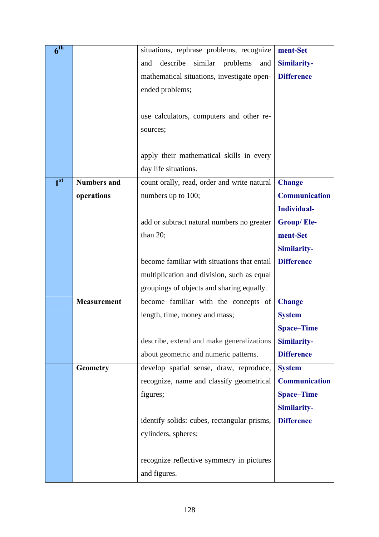| 6 <sup>th</sup> |                    | situations, rephrase problems, recognize      | ment-Set             |
|-----------------|--------------------|-----------------------------------------------|----------------------|
|                 |                    | describe<br>similar<br>problems<br>and<br>and | Similarity-          |
|                 |                    | mathematical situations, investigate open-    | <b>Difference</b>    |
|                 |                    | ended problems;                               |                      |
|                 |                    |                                               |                      |
|                 |                    | use calculators, computers and other re-      |                      |
|                 |                    | sources;                                      |                      |
|                 |                    |                                               |                      |
|                 |                    | apply their mathematical skills in every      |                      |
|                 |                    | day life situations.                          |                      |
| 1 <sup>st</sup> | <b>Numbers and</b> | count orally, read, order and write natural   | <b>Change</b>        |
|                 | operations         | numbers up to 100;                            | <b>Communication</b> |
|                 |                    |                                               | Individual-          |
|                 |                    | add or subtract natural numbers no greater    | <b>Group/Ele-</b>    |
|                 |                    | than $20$ ;                                   | ment-Set             |
|                 |                    |                                               | Similarity-          |
|                 |                    | become familiar with situations that entail   | <b>Difference</b>    |
|                 |                    | multiplication and division, such as equal    |                      |
|                 |                    | groupings of objects and sharing equally.     |                      |
|                 | <b>Measurement</b> | become familiar with the concepts of          | <b>Change</b>        |
|                 |                    | length, time, money and mass;                 | <b>System</b>        |
|                 |                    |                                               | <b>Space–Time</b>    |
|                 |                    | describe, extend and make generalizations     | Similarity-          |
|                 |                    | about geometric and numeric patterns.         | <b>Difference</b>    |
|                 | <b>Geometry</b>    | develop spatial sense, draw, reproduce,       | <b>System</b>        |
|                 |                    | recognize, name and classify geometrical      | <b>Communication</b> |
|                 |                    | figures;                                      | <b>Space-Time</b>    |
|                 |                    |                                               | Similarity-          |
|                 |                    | identify solids: cubes, rectangular prisms,   | <b>Difference</b>    |
|                 |                    | cylinders, spheres;                           |                      |
|                 |                    |                                               |                      |
|                 |                    | recognize reflective symmetry in pictures     |                      |
|                 |                    | and figures.                                  |                      |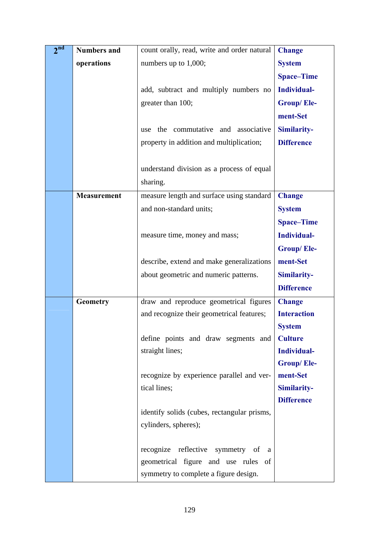| <b>System</b>      |
|--------------------|
| <b>Space-Time</b>  |
| <b>Individual-</b> |
| <b>Group/Ele-</b>  |
| ment-Set           |
| Similarity-        |
| <b>Difference</b>  |
|                    |
|                    |
|                    |
| <b>Change</b>      |
| <b>System</b>      |
| <b>Space–Time</b>  |
| <b>Individual-</b> |
| <b>Group/Ele-</b>  |
| ment-Set           |
| Similarity-        |
| <b>Difference</b>  |
| <b>Change</b>      |
| <b>Interaction</b> |
| <b>System</b>      |
| <b>Culture</b>     |
| Individual-        |
| <b>Group/Ele-</b>  |
| ment-Set           |
| Similarity-        |
| <b>Difference</b>  |
|                    |
|                    |
|                    |
|                    |
|                    |
|                    |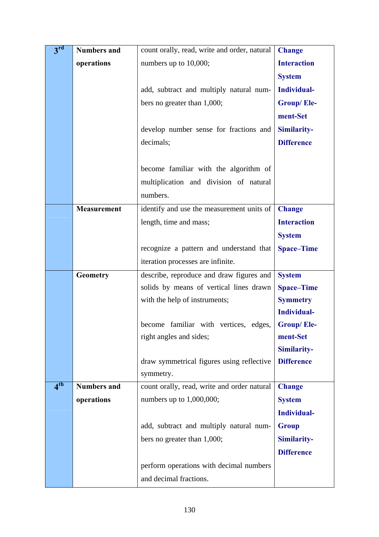| 3 <sup>rd</sup> | <b>Numbers and</b> | count orally, read, write and order, natural | <b>Change</b>      |
|-----------------|--------------------|----------------------------------------------|--------------------|
|                 | operations         | numbers up to 10,000;                        | <b>Interaction</b> |
|                 |                    |                                              | <b>System</b>      |
|                 |                    | add, subtract and multiply natural num-      | Individual-        |
|                 |                    | bers no greater than 1,000;                  | <b>Group/Ele-</b>  |
|                 |                    |                                              | ment-Set           |
|                 |                    | develop number sense for fractions and       | Similarity-        |
|                 |                    | decimals;                                    | <b>Difference</b>  |
|                 |                    |                                              |                    |
|                 |                    | become familiar with the algorithm of        |                    |
|                 |                    | multiplication and division of natural       |                    |
|                 |                    | numbers.                                     |                    |
|                 | <b>Measurement</b> | identify and use the measurement units of    | <b>Change</b>      |
|                 |                    | length, time and mass;                       | <b>Interaction</b> |
|                 |                    |                                              | <b>System</b>      |
|                 |                    | recognize a pattern and understand that      | <b>Space-Time</b>  |
|                 |                    | iteration processes are infinite.            |                    |
|                 | <b>Geometry</b>    | describe, reproduce and draw figures and     | <b>System</b>      |
|                 |                    | solids by means of vertical lines drawn      | <b>Space-Time</b>  |
|                 |                    | with the help of instruments;                | <b>Symmetry</b>    |
|                 |                    |                                              | Individual-        |
|                 |                    | become familiar with vertices, edges,        | <b>Group/Ele-</b>  |
|                 |                    | right angles and sides;                      | ment-Set           |
|                 |                    |                                              | Similarity-        |
|                 |                    | draw symmetrical figures using reflective    | <b>Difference</b>  |
|                 |                    | symmetry.                                    |                    |
| 4 <sup>th</sup> | <b>Numbers and</b> | count orally, read, write and order natural  | <b>Change</b>      |
|                 | operations         | numbers up to $1,000,000$ ;                  | <b>System</b>      |
|                 |                    |                                              | Individual-        |
|                 |                    | add, subtract and multiply natural num-      | <b>Group</b>       |
|                 |                    | bers no greater than 1,000;                  | Similarity-        |
|                 |                    |                                              | <b>Difference</b>  |
|                 |                    | perform operations with decimal numbers      |                    |
|                 |                    | and decimal fractions.                       |                    |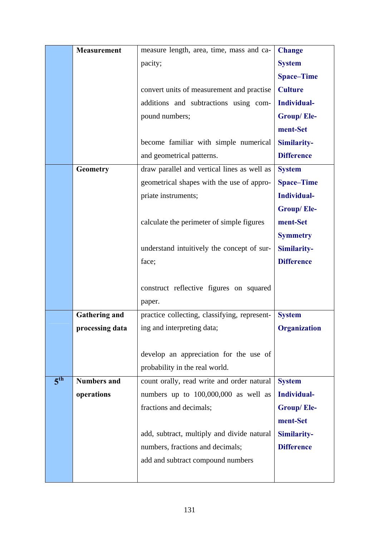|                 | <b>Measurement</b>   | measure length, area, time, mass and ca-     | <b>Change</b>     |
|-----------------|----------------------|----------------------------------------------|-------------------|
|                 |                      | pacity;                                      | <b>System</b>     |
|                 |                      |                                              | <b>Space-Time</b> |
|                 |                      | convert units of measurement and practise    | <b>Culture</b>    |
|                 |                      | additions and subtractions using com-        | Individual-       |
|                 |                      | pound numbers;                               | <b>Group/Ele-</b> |
|                 |                      |                                              | ment-Set          |
|                 |                      | become familiar with simple numerical        | Similarity-       |
|                 |                      | and geometrical patterns.                    | <b>Difference</b> |
|                 | <b>Geometry</b>      | draw parallel and vertical lines as well as  | <b>System</b>     |
|                 |                      | geometrical shapes with the use of appro-    | <b>Space-Time</b> |
|                 |                      | priate instruments;                          | Individual-       |
|                 |                      |                                              | <b>Group/Ele-</b> |
|                 |                      | calculate the perimeter of simple figures    | ment-Set          |
|                 |                      |                                              | <b>Symmetry</b>   |
|                 |                      | understand intuitively the concept of sur-   | Similarity-       |
|                 |                      | face;                                        | <b>Difference</b> |
|                 |                      |                                              |                   |
|                 |                      | construct reflective figures on squared      |                   |
|                 |                      | paper.                                       |                   |
|                 | <b>Gathering and</b> | practice collecting, classifying, represent- | <b>System</b>     |
|                 | processing data      | ing and interpreting data;                   | Organization      |
|                 |                      |                                              |                   |
|                 |                      | develop an appreciation for the use of       |                   |
|                 |                      | probability in the real world.               |                   |
| 5 <sup>th</sup> | <b>Numbers and</b>   | count orally, read write and order natural   | <b>System</b>     |
|                 | operations           | numbers up to 100,000,000 as well as         | Individual-       |
|                 |                      | fractions and decimals;                      | <b>Group/Ele-</b> |
|                 |                      |                                              | ment-Set          |
|                 |                      | add, subtract, multiply and divide natural   | Similarity-       |
|                 |                      | numbers, fractions and decimals;             | <b>Difference</b> |
|                 |                      | add and subtract compound numbers            |                   |
|                 |                      |                                              |                   |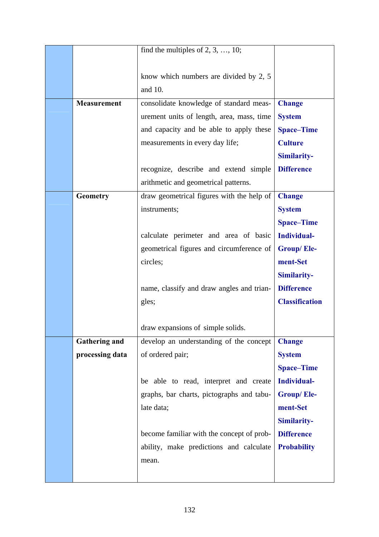|                      | find the multiples of $2, 3, , 10$ ;      |                       |
|----------------------|-------------------------------------------|-----------------------|
|                      |                                           |                       |
|                      | know which numbers are divided by 2, 5    |                       |
|                      | and 10.                                   |                       |
| <b>Measurement</b>   | consolidate knowledge of standard meas-   | <b>Change</b>         |
|                      | urement units of length, area, mass, time | <b>System</b>         |
|                      | and capacity and be able to apply these   | <b>Space-Time</b>     |
|                      |                                           |                       |
|                      | measurements in every day life;           | <b>Culture</b>        |
|                      |                                           | Similarity-           |
|                      | recognize, describe and extend simple     | <b>Difference</b>     |
|                      | arithmetic and geometrical patterns.      |                       |
| <b>Geometry</b>      | draw geometrical figures with the help of | <b>Change</b>         |
|                      | instruments;                              | <b>System</b>         |
|                      |                                           | <b>Space-Time</b>     |
|                      | calculate perimeter and area of basic     | Individual-           |
|                      | geometrical figures and circumference of  | <b>Group/Ele-</b>     |
|                      | circles;                                  | ment-Set              |
|                      |                                           | Similarity-           |
|                      | name, classify and draw angles and trian- | <b>Difference</b>     |
|                      | gles;                                     | <b>Classification</b> |
|                      |                                           |                       |
|                      | draw expansions of simple solids.         |                       |
| <b>Gathering and</b> | develop an understanding of the concept   | <b>Change</b>         |
| processing data      | of ordered pair;                          | <b>System</b>         |
|                      |                                           | <b>Space-Time</b>     |
|                      | be able to read, interpret and create     | Individual-           |
|                      | graphs, bar charts, pictographs and tabu- | <b>Group/Ele-</b>     |
|                      |                                           |                       |
|                      | late data;                                | ment-Set              |
|                      |                                           | Similarity-           |
|                      | become familiar with the concept of prob- | <b>Difference</b>     |
|                      | ability, make predictions and calculate   | <b>Probability</b>    |
|                      | mean.                                     |                       |
|                      |                                           |                       |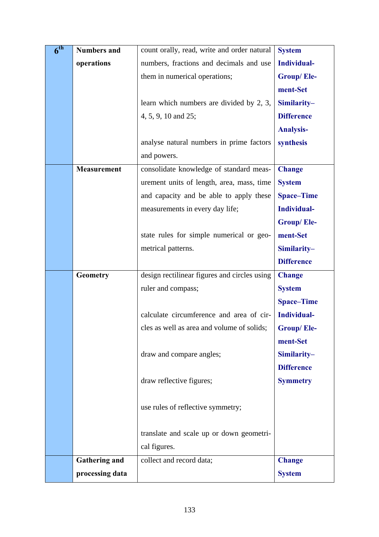| $\overline{6^{th}}$ | <b>Numbers and</b>   | count orally, read, write and order natural  | <b>System</b>     |
|---------------------|----------------------|----------------------------------------------|-------------------|
|                     | operations           | numbers, fractions and decimals and use      | Individual-       |
|                     |                      | them in numerical operations;                | <b>Group/Ele-</b> |
|                     |                      |                                              | ment-Set          |
|                     |                      | learn which numbers are divided by 2, 3,     | Similarity-       |
|                     |                      | 4, 5, 9, 10 and 25;                          | <b>Difference</b> |
|                     |                      |                                              | <b>Analysis-</b>  |
|                     |                      | analyse natural numbers in prime factors     | synthesis         |
|                     |                      | and powers.                                  |                   |
|                     | <b>Measurement</b>   | consolidate knowledge of standard meas-      | <b>Change</b>     |
|                     |                      | urement units of length, area, mass, time    | <b>System</b>     |
|                     |                      | and capacity and be able to apply these      | <b>Space-Time</b> |
|                     |                      | measurements in every day life;              | Individual-       |
|                     |                      |                                              | <b>Group/Ele-</b> |
|                     |                      | state rules for simple numerical or geo-     | ment-Set          |
|                     |                      | metrical patterns.                           | Similarity-       |
|                     |                      |                                              | <b>Difference</b> |
|                     | <b>Geometry</b>      | design rectilinear figures and circles using | <b>Change</b>     |
|                     |                      | ruler and compass;                           | <b>System</b>     |
|                     |                      |                                              | <b>Space-Time</b> |
|                     |                      | calculate circumference and area of cir-     | Individual-       |
|                     |                      | cles as well as area and volume of solids;   | <b>Group/Ele-</b> |
|                     |                      |                                              |                   |
|                     |                      |                                              | ment-Set          |
|                     |                      | draw and compare angles;                     | Similarity-       |
|                     |                      |                                              | <b>Difference</b> |
|                     |                      | draw reflective figures;                     | <b>Symmetry</b>   |
|                     |                      |                                              |                   |
|                     |                      | use rules of reflective symmetry;            |                   |
|                     |                      |                                              |                   |
|                     |                      | translate and scale up or down geometri-     |                   |
|                     |                      | cal figures.                                 |                   |
|                     | <b>Gathering and</b> | collect and record data;                     | <b>Change</b>     |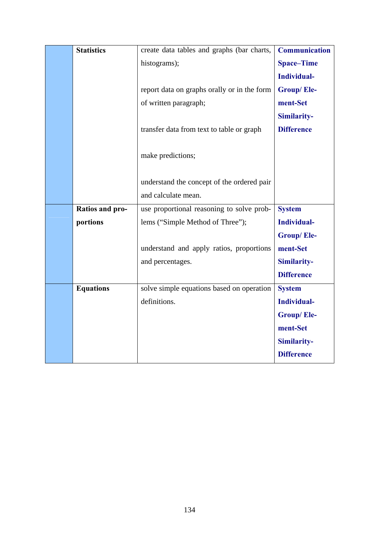| <b>Statistics</b>      | create data tables and graphs (bar charts,  | <b>Communication</b> |
|------------------------|---------------------------------------------|----------------------|
|                        | histograms);                                | <b>Space-Time</b>    |
|                        |                                             | Individual-          |
|                        | report data on graphs orally or in the form | <b>Group/Ele-</b>    |
|                        | of written paragraph;                       | ment-Set             |
|                        |                                             | Similarity-          |
|                        | transfer data from text to table or graph   | <b>Difference</b>    |
|                        |                                             |                      |
|                        | make predictions;                           |                      |
|                        |                                             |                      |
|                        | understand the concept of the ordered pair  |                      |
|                        | and calculate mean.                         |                      |
| <b>Ratios and pro-</b> | use proportional reasoning to solve prob-   | <b>System</b>        |
| portions               | lems ("Simple Method of Three");            | Individual-          |
|                        |                                             | <b>Group/Ele-</b>    |
|                        | understand and apply ratios, proportions    | ment-Set             |
|                        | and percentages.                            | Similarity-          |
|                        |                                             | <b>Difference</b>    |
| <b>Equations</b>       | solve simple equations based on operation   | <b>System</b>        |
|                        | definitions.                                | Individual-          |
|                        |                                             | <b>Group/Ele-</b>    |
|                        |                                             | ment-Set             |
|                        |                                             | Similarity-          |
|                        |                                             | <b>Difference</b>    |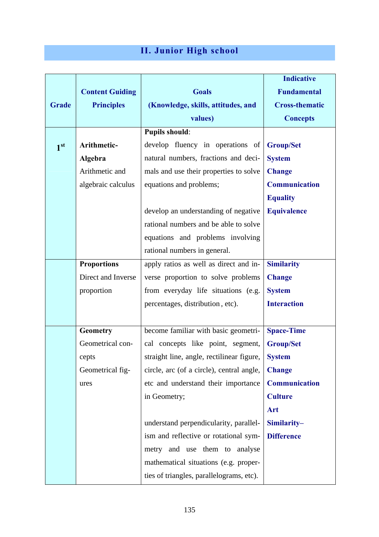# **IΙ. Junior High school**

|                 |                        |                                           | <b>Indicative</b>     |
|-----------------|------------------------|-------------------------------------------|-----------------------|
|                 | <b>Content Guiding</b> | <b>Goals</b>                              | <b>Fundamental</b>    |
| <b>Grade</b>    | <b>Principles</b>      | (Knowledge, skills, attitudes, and        | <b>Cross-thematic</b> |
|                 |                        | values)                                   | <b>Concepts</b>       |
|                 |                        | <b>Pupils should:</b>                     |                       |
| 1 <sup>st</sup> | Arithmetic-            | develop fluency in operations of          | <b>Group/Set</b>      |
|                 | <b>Algebra</b>         | natural numbers, fractions and deci-      | <b>System</b>         |
|                 | Arithmetic and         | mals and use their properties to solve    | <b>Change</b>         |
|                 | algebraic calculus     | equations and problems;                   | Communication         |
|                 |                        |                                           | <b>Equality</b>       |
|                 |                        | develop an understanding of negative      | <b>Equivalence</b>    |
|                 |                        | rational numbers and be able to solve     |                       |
|                 |                        | equations and problems involving          |                       |
|                 |                        | rational numbers in general.              |                       |
|                 | <b>Proportions</b>     | apply ratios as well as direct and in-    | <b>Similarity</b>     |
|                 | Direct and Inverse     | verse proportion to solve problems        | <b>Change</b>         |
|                 | proportion             | from everyday life situations (e.g.       | <b>System</b>         |
|                 |                        | percentages, distribution, etc).          | <b>Interaction</b>    |
|                 |                        |                                           |                       |
|                 | <b>Geometry</b>        | become familiar with basic geometri-      | <b>Space-Time</b>     |
|                 | Geometrical con-       | cal concepts like point, segment,         | <b>Group/Set</b>      |
|                 | cepts                  | straight line, angle, rectilinear figure, | <b>System</b>         |
|                 | Geometrical fig-       | circle, arc (of a circle), central angle, | <b>Change</b>         |
|                 | ures                   | etc and understand their importance       | Communication         |
|                 |                        | in Geometry;                              | <b>Culture</b>        |
|                 |                        |                                           | Art                   |
|                 |                        | understand perpendicularity, parallel-    | Similarity-           |
|                 |                        | ism and reflective or rotational sym-     | <b>Difference</b>     |
|                 |                        | and use them to analyse<br>metry          |                       |
|                 |                        | mathematical situations (e.g. proper-     |                       |
|                 |                        | ties of triangles, parallelograms, etc).  |                       |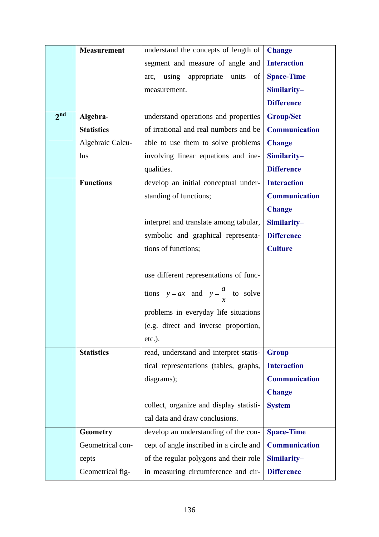|                 | <b>Measurement</b> | understand the concepts of length of          | <b>Change</b>        |
|-----------------|--------------------|-----------------------------------------------|----------------------|
|                 |                    | segment and measure of angle and              | <b>Interaction</b>   |
|                 |                    | arc, using appropriate units of               | <b>Space-Time</b>    |
|                 |                    | measurement.                                  | Similarity-          |
|                 |                    |                                               | <b>Difference</b>    |
| 2 <sup>nd</sup> | Algebra-           | understand operations and properties          | <b>Group/Set</b>     |
|                 | <b>Statistics</b>  | of irrational and real numbers and be         | Communication        |
|                 | Algebraic Calcu-   | able to use them to solve problems            | <b>Change</b>        |
|                 | lus                | involving linear equations and ine-           | Similarity-          |
|                 |                    | qualities.                                    | <b>Difference</b>    |
|                 | <b>Functions</b>   | develop an initial conceptual under-          | <b>Interaction</b>   |
|                 |                    | standing of functions;                        | Communication        |
|                 |                    |                                               | <b>Change</b>        |
|                 |                    | interpret and translate among tabular,        | Similarity-          |
|                 |                    | symbolic and graphical representa-            | <b>Difference</b>    |
|                 |                    | tions of functions;                           | <b>Culture</b>       |
|                 |                    |                                               |                      |
|                 |                    | use different representations of func-        |                      |
|                 |                    | tions $y = ax$ and $y = \frac{a}{x}$ to solve |                      |
|                 |                    | problems in everyday life situations          |                      |
|                 |                    | (e.g. direct and inverse proportion,          |                      |
|                 |                    | $etc.$ ).                                     |                      |
|                 | <b>Statistics</b>  | read, understand and interpret statis-        | <b>Group</b>         |
|                 |                    | tical representations (tables, graphs,        | <b>Interaction</b>   |
|                 |                    | diagrams);                                    | <b>Communication</b> |
|                 |                    |                                               | <b>Change</b>        |
|                 |                    | collect, organize and display statisti-       | <b>System</b>        |
|                 |                    | cal data and draw conclusions.                |                      |
|                 | <b>Geometry</b>    | develop an understanding of the con-          | <b>Space-Time</b>    |
|                 | Geometrical con-   | cept of angle inscribed in a circle and       | <b>Communication</b> |
|                 | cepts              | of the regular polygons and their role        | Similarity-          |
|                 | Geometrical fig-   | in measuring circumference and cir-           | <b>Difference</b>    |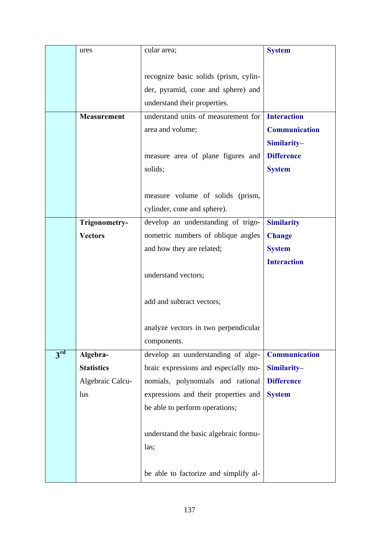|                 | ures               | cular area;                           | <b>System</b>        |
|-----------------|--------------------|---------------------------------------|----------------------|
|                 |                    |                                       |                      |
|                 |                    | recognize basic solids (prism, cylin- |                      |
|                 |                    | der, pyramid, cone and sphere) and    |                      |
|                 |                    | understand their properties.          |                      |
|                 | <b>Measurement</b> | understand units of measurement for   | <b>Interaction</b>   |
|                 |                    | area and volume;                      | <b>Communication</b> |
|                 |                    |                                       | Similarity-          |
|                 |                    | measure area of plane figures and     | <b>Difference</b>    |
|                 |                    | solids;                               | <b>System</b>        |
|                 |                    |                                       |                      |
|                 |                    | measure volume of solids (prism,      |                      |
|                 |                    | cylinder, cone and sphere).           |                      |
|                 | Trigonometry-      | develop an understanding of trigo-    | <b>Similarity</b>    |
|                 | <b>Vectors</b>     | nometric numbers of oblique angles    | <b>Change</b>        |
|                 |                    | and how they are related;             | <b>System</b>        |
|                 |                    |                                       | <b>Interaction</b>   |
|                 |                    | understand vectors;                   |                      |
|                 |                    |                                       |                      |
|                 |                    | add and subtract vectors;             |                      |
|                 |                    |                                       |                      |
|                 |                    | analyze vectors in two perpendicular  |                      |
|                 |                    | components.                           |                      |
| 3 <sup>rd</sup> | Algebra-           | develop an uunderstanding of alge-    | <b>Communication</b> |
|                 | <b>Statistics</b>  | braic expressions and especially mo-  | Similarity-          |
|                 | Algebraic Calcu-   | nomials, polynomials and rational     | <b>Difference</b>    |
|                 | lus                | expressions and their properties and  | <b>System</b>        |
|                 |                    | be able to perform operations;        |                      |
|                 |                    |                                       |                      |
|                 |                    | understand the basic algebraic formu- |                      |
|                 |                    | las;                                  |                      |
|                 |                    |                                       |                      |
|                 |                    | be able to factorize and simplify al- |                      |